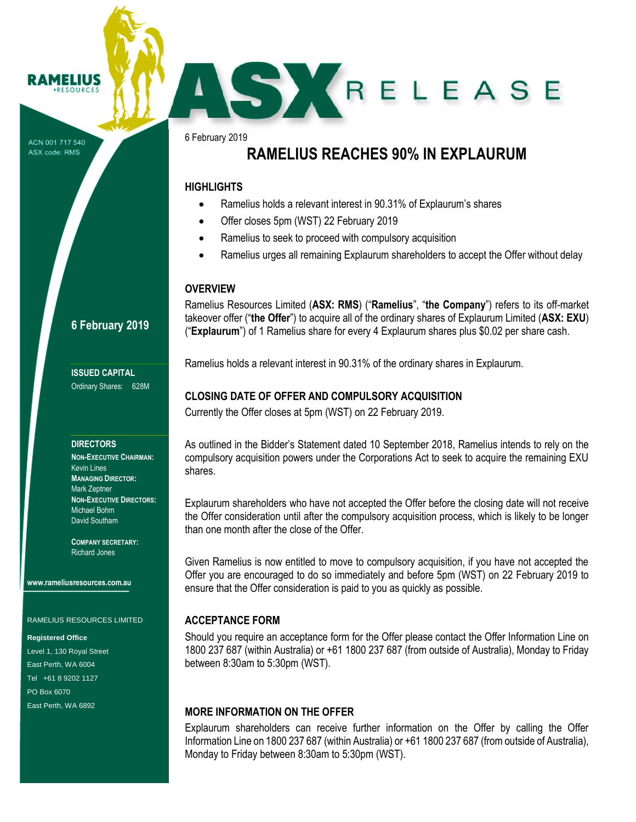RESOURCE

ACN 001 717 540 ASX code: RMS

6 February 2019

# **RAMELIUS REACHES 90% IN EXPLAURUM**

SKRELEASE

### **HIGHLIGHTS**

- Ramelius holds a relevant interest in 90.31% of Explaurum's shares
- Offer closes 5pm (WST) 22 February 2019
- Ramelius to seek to proceed with compulsory acquisition
- Ramelius urges all remaining Explaurum shareholders to accept the Offer without delay

### **OVERVIEW**

Ramelius Resources Limited (**ASX: RMS**) ("**Ramelius**", "**the Company**") refers to its off-market takeover offer ("**the Offer**") to acquire all of the ordinary shares of Explaurum Limited (**ASX: EXU**) ("**Explaurum**") of 1 Ramelius share for every 4 Explaurum shares plus \$0.02 per share cash.

Ramelius holds a relevant interest in 90.31% of the ordinary shares in Explaurum.

### **CLOSING DATE OF OFFER AND COMPULSORY ACQUISITION**

Currently the Offer closes at 5pm (WST) on 22 February 2019.

As outlined in the Bidder's Statement dated 10 September 2018, Ramelius intends to rely on the compulsory acquisition powers under the Corporations Act to seek to acquire the remaining EXU shares.

Explaurum shareholders who have not accepted the Offer before the closing date will not receive the Offer consideration until after the compulsory acquisition process, which is likely to be longer than one month after the close of the Offer.

Given Ramelius is now entitled to move to compulsory acquisition, if you have not accepted the Offer you are encouraged to do so immediately and before 5pm (WST) on 22 February 2019 to ensure that the Offer consideration is paid to you as quickly as possible.

### **ACCEPTANCE FORM**

Should you require an acceptance form for the Offer please contact the Offer Information Line on 1800 237 687 (within Australia) or +61 1800 237 687 (from outside of Australia), Monday to Friday between 8:30am to 5:30pm (WST).

### **MORE INFORMATION ON THE OFFER**

Explaurum shareholders can receive further information on the Offer by calling the Offer Information Line on 1800 237 687 (within Australia) or +61 1800 237 687 (from outside of Australia), Monday to Friday between 8:30am to 5:30pm (WST).

### **6 February 2019**

**ISSUED CAPITAL** Ordinary Shares: 628M

#### **DIRECTORS**

**NON-EXECUTIVE CHAIRMAN:** Kevin Lines **MANAGING DIRECTOR:** Mark Zeptner **NON-EXECUTIVE DIRECTORS:** Michael Bohm David Southam

**COMPANY SECRETARY:** Richard Jones

**www.rameliusresources.com.au**

RAMELIUS RESOURCES LIMITED

#### **Registered Office**

Level 1, 130 Royal Street East Perth, WA 6004 Tel +61 8 9202 1127 PO Box 6070 East Perth, WA 6892